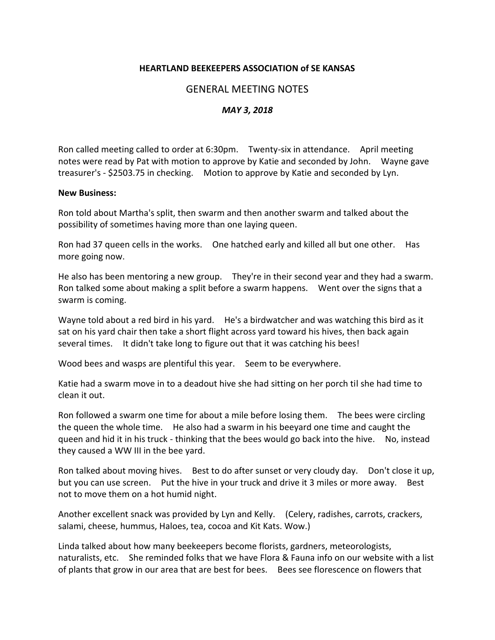## **HEARTLAND BEEKEEPERS ASSOCIATION of SE KANSAS**

## GENERAL MEETING NOTES

## *MAY 3, 2018*

Ron called meeting called to order at 6:30pm. Twenty-six in attendance. April meeting notes were read by Pat with motion to approve by Katie and seconded by John. Wayne gave treasurer's - \$2503.75 in checking. Motion to approve by Katie and seconded by Lyn.

## **New Business:**

Ron told about Martha's split, then swarm and then another swarm and talked about the possibility of sometimes having more than one laying queen.

Ron had 37 queen cells in the works. One hatched early and killed all but one other. Has more going now.

He also has been mentoring a new group. They're in their second year and they had a swarm. Ron talked some about making a split before a swarm happens. Went over the signs that a swarm is coming.

Wayne told about a red bird in his yard. He's a birdwatcher and was watching this bird as it sat on his yard chair then take a short flight across yard toward his hives, then back again several times. It didn't take long to figure out that it was catching his bees!

Wood bees and wasps are plentiful this year. Seem to be everywhere.

Katie had a swarm move in to a deadout hive she had sitting on her porch til she had time to clean it out.

Ron followed a swarm one time for about a mile before losing them. The bees were circling the queen the whole time. He also had a swarm in his beeyard one time and caught the queen and hid it in his truck - thinking that the bees would go back into the hive. No, instead they caused a WW III in the bee yard.

Ron talked about moving hives. Best to do after sunset or very cloudy day. Don't close it up, but you can use screen. Put the hive in your truck and drive it 3 miles or more away. Best not to move them on a hot humid night.

Another excellent snack was provided by Lyn and Kelly. (Celery, radishes, carrots, crackers, salami, cheese, hummus, Haloes, tea, cocoa and Kit Kats. Wow.)

Linda talked about how many beekeepers become florists, gardners, meteorologists, naturalists, etc. She reminded folks that we have Flora & Fauna info on our website with a list of plants that grow in our area that are best for bees. Bees see florescence on flowers that